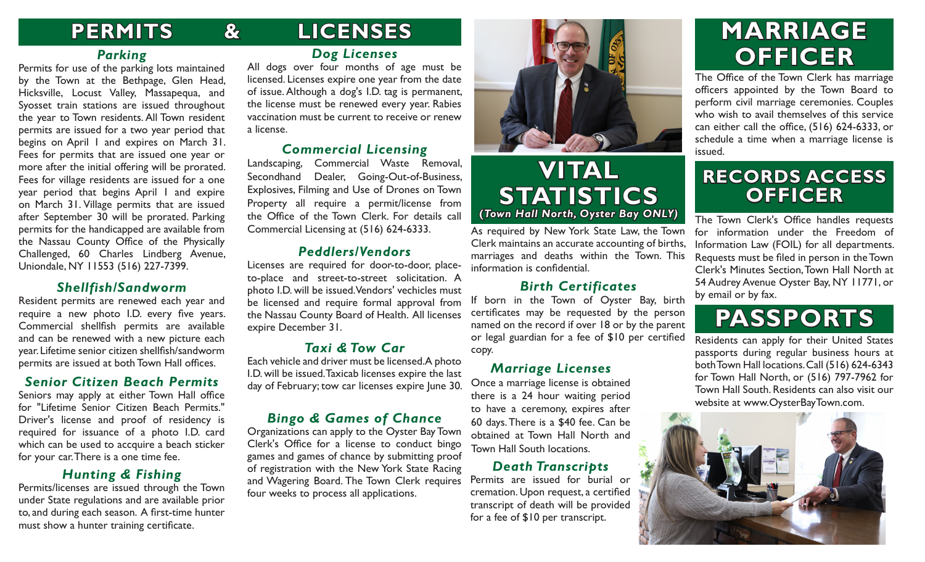# **PERMITS LICENSES**

**&**

### *Parking*

Permits for use of the parking lots maintained by the Town at the Bethpage, Glen Head, Hicksville, Locust Valley, Massapequa, and Syosset train stations are issued throughout the year to Town residents. All Town resident permits are issued for a two year period that begins on April 1 and expires on March 31. Fees for permits that are issued one year or more after the initial offering will be prorated. Fees for village residents are issued for a one year period that begins April 1 and expire on March 31. Village permits that are issued after September 30 will be prorated. Parking permits for the handicapped are available from the Nassau County Office of the Physically Challenged, 60 Charles Lindberg Avenue, Uniondale, NY 11553 (516) 227-7399.

### *Shellfish/Sandworm*

Resident permits are renewed each year and require a new photo I.D. every five years. Commercial shellfish permits are available and can be renewed with a new picture each year. Lifetime senior citizen shellfish/sandworm permits are issued at both Town Hall offices.

### *Senior Citizen Beach Permits*

Seniors may apply at either Town Hall office for "Lifetime Senior Citizen Beach Permits." Driver's license and proof of residency is required for issuance of a photo I.D. card which can be used to accquire a beach sticker for your car. There is a one time fee.

### *Hunting & Fishing*

Permits/licenses are issued through the Town under State regulations and are available prior to, and during each season. A first-time hunter must show a hunter training certificate.

### *Dog Licenses*

All dogs over four months of age must be licensed. Licenses expire one year from the date of issue. Although a dog's I.D. tag is permanent, the license must be renewed every year. Rabies vaccination must be current to receive or renew a license.

### *Commercial Licensing*

Landscaping, Commercial Waste Removal, Secondhand Dealer, Going-Out-of-Business, Explosives, Filming and Use of Drones on Town Property all require a permit/license from the Office of the Town Clerk. For details call Commercial Licensing at (516) 624-6333.

### *Peddlers/Vendors*

Licenses are required for door-to-door, placeto-place and street-to-street solicitation. A photo I.D. will be issued. Vendors' vechicles must be licensed and require formal approval from the Nassau County Board of Health. All licenses expire December 31.

### *Taxi & Tow Car*

Each vehicle and driver must be licensed. A photo I.D. will be issued. Taxicab licenses expire the last day of February; tow car licenses expire June 30.

### *Bingo & Games of Chance*

Organizations can apply to the Oyster Bay Town Clerk's Office for a license to conduct bingo games and games of chance by submitting proof of registration with the New York State Racing and Wagering Board. The Town Clerk requires four weeks to process all applications.



### **VITAL STATISTICS (***Town Hall North, Oyster Bay ONLY)*

As required by New York State Law, the Town Clerk maintains an accurate accounting of births, marriages and deaths within the Town. This information is confidential.

### *Birth Certificates*

If born in the Town of Oyster Bay, birth certificates may be requested by the person named on the record if over 18 or by the parent or legal guardian for a fee of \$10 per certified copy.

### *Marriage Licenses*

Once a marriage license is obtained there is a 24 hour waiting period to have a ceremony, expires after 60 days. There is a \$40 fee. Can be obtained at Town Hall North and Town Hall South locations.

#### *Death Transcripts*

Permits are issued for burial or cremation. Upon request, a certified transcript of death will be provided for a fee of \$10 per transcript.

# **MARRIAGE OFFICER**

The Office of the Town Clerk has marriage officers appointed by the Town Board to perform civil marriage ceremonies. Couples who wish to avail themselves of this service can either call the office, (516) 624-6333, or schedule a time when a marriage license is issued.

## **RECORDS ACCESS OFFICER**

The Town Clerk's Office handles requests for information under the Freedom of Information Law (FOIL) for all departments. Requests must be filed in person in the Town Clerk's Minutes Section, Town Hall North at 54 Audrey Avenue Oyster Bay, NY 11771, or by email or by fax.

# **PASSPORTS**

Residents can apply for their United States passports during regular business hours at both Town Hall locations. Call (516) 624-6343 for Town Hall North, or (516) 797-7962 for Town Hall South. Residents can also visit our website at www.OysterBayTown.com.